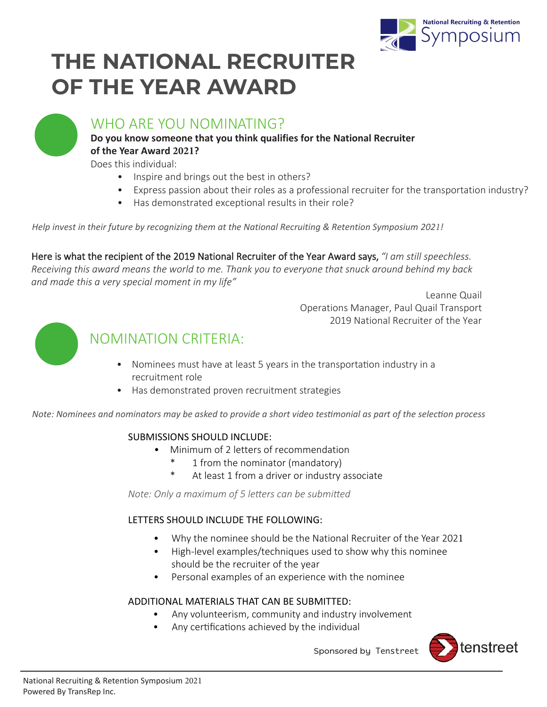

# **THE NATIONAL RECRUITER OF THE YEAR AWARD**



### WHO ARE YOU NOMINATING?

#### **Do you know someone that you think qualifies for the National Recruiter of the Year Award 2021?**

Does this individual:

- Inspire and brings out the best in others?
- Express passion about their roles as a professional recruiter for the transportation industry?
- Has demonstrated exceptional results in their role?

*Help invest in their future by recognizing them at the National Recruiting & Retention Symposium 2021!* 

Here is what the recipient of the 2019 National Recruiter of the Year Award says, *"I am still speechless. Receiving this award means the world to me. Thank you to everyone that snuck around behind my back and made this a very special moment in my life"* 

> Leanne Quail Operations Manager, Paul Quail Transport 2019 National Recruiter of the Year



## NOMINATION CRITERIA:

- Nominees must have at least 5 years in the transportation industry in a recruitment role
- Has demonstrated proven recruitment strategies

*Note: Nominees and nominators may be asked to provide a short video testimonial as part of the selection process* 

#### SUBMISSIONS SHOULD INCLUDE:

- Minimum of 2 letters of recommendation
	- 1 from the nominator (mandatory)
	- At least 1 from a driver or industry associate

*Note: Only a maximum of 5 letters can be submitted* 

#### LETTERS SHOULD INCLUDE THE FOLLOWING:

- Why the nominee should be the National Recruiter of the Year 2021
- High-level examples/techniques used to show why this nominee should be the recruiter of the year
- Personal examples of an experience with the nominee

#### ADDITIONAL MATERIALS THAT CAN BE SUBMITTED:

- Any volunteerism, community and industry involvement
- Any certifications achieved by the individual



Sponsored by Tenstreet